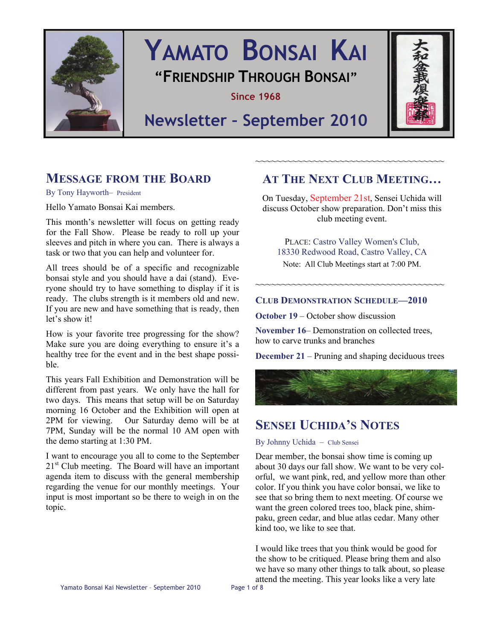

# **YAMATO BONSAI KAI "FRIENDSHIP THROUGH BONSAI"**

**Since 1968** 



# **Newsletter – September 2010**

# **MESSAGE FROM THE BOARD**

By Tony Hayworth– President

Hello Yamato Bonsai Kai members.

This month's newsletter will focus on getting ready for the Fall Show. Please be ready to roll up your sleeves and pitch in where you can. There is always a task or two that you can help and volunteer for.

All trees should be of a specific and recognizable bonsai style and you should have a dai (stand). Everyone should try to have something to display if it is ready. The clubs strength is it members old and new. If you are new and have something that is ready, then let's show it!

How is your favorite tree progressing for the show? Make sure you are doing everything to ensure it's a healthy tree for the event and in the best shape possible.

This years Fall Exhibition and Demonstration will be different from past years. We only have the hall for two days. This means that setup will be on Saturday morning 16 October and the Exhibition will open at 2PM for viewing. Our Saturday demo will be at 7PM, Sunday will be the normal 10 AM open with the demo starting at 1:30 PM.

I want to encourage you all to come to the September  $21<sup>st</sup>$  Club meeting. The Board will have an important agenda item to discuss with the general membership regarding the venue for our monthly meetings. Your input is most important so be there to weigh in on the topic.

# **AT THE NEXT CLUB MEETING…**

~~~~~~~~~~~~~~~~~~~~~~~~~~~~~~~~~~~

On Tuesday, September 21st, Sensei Uchida will discuss October show preparation. Don't miss this club meeting event.

PLACE: Castro Valley Women's Club, 18330 Redwood Road, Castro Valley, CA Note: All Club Meetings start at 7:00 PM.

~~~~~~~~~~~~~~~~~~~~~~~~~~~~~~~~~~~~

# **CLUB DEMONSTRATION SCHEDULE—2010**

**October 19 – October show discussion** 

**November 16– Demonstration on collected trees.** how to carve trunks and branches

**December 21** – Pruning and shaping deciduous trees



# **SENSEI UCHIDA'S NOTES**

#### By Johnny Uchida – Club Sensei

Dear member, the bonsai show time is coming up about 30 days our fall show. We want to be very colorful, we want pink, red, and yellow more than other color. If you think you have color bonsai, we like to see that so bring them to next meeting. Of course we want the green colored trees too, black pine, shimpaku, green cedar, and blue atlas cedar. Many other kind too, we like to see that.

I would like trees that you think would be good for the show to be critiqued. Please bring them and also we have so many other things to talk about, so please attend the meeting. This year looks like a very late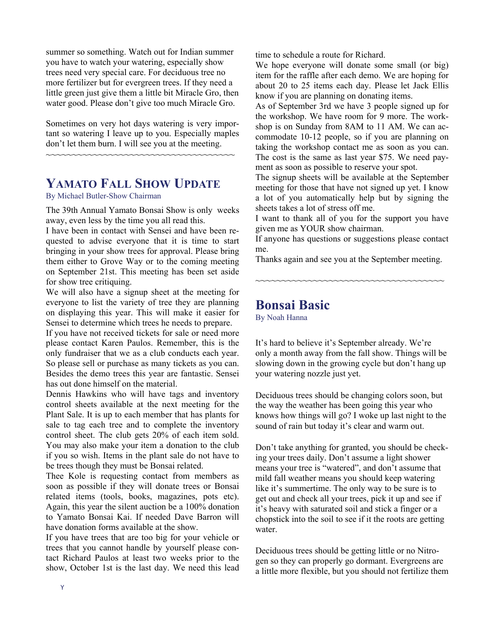summer so something. Watch out for Indian summer you have to watch your watering, especially show trees need very special care. For deciduous tree no more fertilizer but for evergreen trees. If they need a little green just give them a little bit Miracle Gro, then water good. Please don't give too much Miracle Gro.

Sometimes on very hot days watering is very important so watering I leave up to you. Especially maples don't let them burn. I will see you at the meeting.

~~~~~~~~~~~~~~~~~~~~~~~~~~~~~~~~~~~~

# **YAMATO FALL SHOW UPDATE**

By Michael Butler-Show Chairman

The 39th Annual Yamato Bonsai Show is only weeks away, even less by the time you all read this.

I have been in contact with Sensei and have been requested to advise everyone that it is time to start bringing in your show trees for approval. Please bring them either to Grove Way or to the coming meeting on September 21st. This meeting has been set aside for show tree critiquing.

We will also have a signup sheet at the meeting for everyone to list the variety of tree they are planning on displaying this year. This will make it easier for Sensei to determine which trees he needs to prepare.

If you have not received tickets for sale or need more please contact Karen Paulos. Remember, this is the only fundraiser that we as a club conducts each year. So please sell or purchase as many tickets as you can. Besides the demo trees this year are fantastic. Sensei has out done himself on the material.

Dennis Hawkins who will have tags and inventory control sheets available at the next meeting for the Plant Sale. It is up to each member that has plants for sale to tag each tree and to complete the inventory control sheet. The club gets 20% of each item sold. You may also make your item a donation to the club if you so wish. Items in the plant sale do not have to be trees though they must be Bonsai related.

Thee Kole is requesting contact from members as soon as possible if they will donate trees or Bonsai related items (tools, books, magazines, pots etc). Again, this year the silent auction be a 100% donation to Yamato Bonsai Kai. If needed Dave Barron will have donation forms available at the show.

If you have trees that are too big for your vehicle or trees that you cannot handle by yourself please contact Richard Paulos at least two weeks prior to the show, October 1st is the last day. We need this lead time to schedule a route for Richard.

We hope everyone will donate some small (or big) item for the raffle after each demo. We are hoping for about 20 to 25 items each day. Please let Jack Ellis know if you are planning on donating items.

As of September 3rd we have 3 people signed up for the workshop. We have room for 9 more. The workshop is on Sunday from 8AM to 11 AM. We can accommodate 10-12 people, so if you are planning on taking the workshop contact me as soon as you can. The cost is the same as last year \$75. We need payment as soon as possible to reserve your spot.

The signup sheets will be available at the September meeting for those that have not signed up yet. I know a lot of you automatically help but by signing the sheets takes a lot of stress off me.

I want to thank all of you for the support you have given me as YOUR show chairman.

If anyone has questions or suggestions please contact me.

Thanks again and see you at the September meeting.

~~~~~~~~~~~~~~~~~~~~~~~~~~~~~~~~~~~~

# **Bonsai Basic**

By Noah Hanna

It's hard to believe it's September already. We're only a month away from the fall show. Things will be slowing down in the growing cycle but don't hang up your watering nozzle just yet.

Deciduous trees should be changing colors soon, but the way the weather has been going this year who knows how things will go? I woke up last night to the sound of rain but today it's clear and warm out.

Don't take anything for granted, you should be checking your trees daily. Don't assume a light shower means your tree is "watered", and don't assume that mild fall weather means you should keep watering like it's summertime. The only way to be sure is to get out and check all your trees, pick it up and see if it's heavy with saturated soil and stick a finger or a chopstick into the soil to see if it the roots are getting water.

Deciduous trees should be getting little or no Nitrogen so they can properly go dormant. Evergreens are a little more flexible, but you should not fertilize them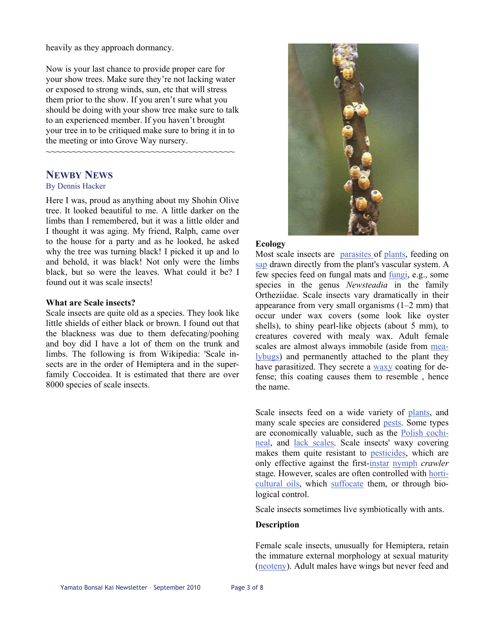heavily as they approach dormancy.

Now is your last chance to provide proper care for your show trees. Make sure they're not lacking water or exposed to strong winds, sun, etc that will stress them prior to the show. If you aren't sure what you should be doing with your show tree make sure to talk to an experienced member. If you haven't brought your tree in to be critiqued make sure to bring it in to the meeting or into Grove Way nursery.

~~~~~~~~~~~~~~~~~~~~~~~~~~~~~~~~~~~~

# **NEWBY NEWS**

#### By Dennis Hacker

Here I was, proud as anything about my Shohin Olive tree. It looked beautiful to me. A little darker on the limbs than I remembered, but it was a little older and I thought it was aging. My friend, Ralph, came over to the house for a party and as he looked, he asked why the tree was turning black! I picked it up and lo and behold, it was black! Not only were the limbs black, but so were the leaves. What could it be? I found out it was scale insects!

#### **What are Scale insects?**

Scale insects are quite old as a species. They look like little shields of either black or brown. I found out that the blackness was due to them defecating/poohing and boy did I have a lot of them on the trunk and limbs. The following is from Wikipedia: 'Scale insects are in the order of Hemiptera and in the superfamily Coccoidea. It is estimated that there are over 8000 species of scale insects.



#### **Ecology**

Most scale insects are [parasites](http://en.wikipedia.org/wiki/Parasite) of [plants](http://en.wikipedia.org/wiki/Plant), feeding on [sap](http://en.wikipedia.org/wiki/Sap) drawn directly from the plant's vascular system. A few species feed on fungal mats and [fung](http://en.wikipedia.org/wiki/Fungi)i, e.g., some species in the genus *Newsteadia* in the family Ortheziidae. Scale insects vary dramatically in their appearance from very small organisms (1–2 mm) that occur under wax covers (some look like oyster shells), to shiny pearl-like objects (about 5 mm), to creatures covered with mealy wax. Adult female scales are almost always immobile (aside from [mea](http://en.wikipedia.org/wiki/Mealybug)[lybugs](http://en.wikipedia.org/wiki/Mealybug)) and permanently attached to the plant they have parasitized. They secrete a [waxy](http://en.wikipedia.org/wiki/Wax) coating for defense; this coating causes them to resemble , hence the name.

Scale insects feed on a wide variety of [plants](http://en.wikipedia.org/wiki/Plant), and many scale species are considered [pests](http://en.wikipedia.org/wiki/Pest_(animal)). Some types are economically valuable, such as the [Polish cochi](http://en.wikipedia.org/wiki/Polish_cochineal)[neal](http://en.wikipedia.org/wiki/Polish_cochineal), and [lack scales](http://en.wikipedia.org/wiki/Lac_scale). Scale insects' waxy covering makes them quite resistant to [pesticides,](http://en.wikipedia.org/wiki/Pesticide) which are only effective against the first-[instar](http://en.wikipedia.org/wiki/Instar) [nymph](http://en.wikipedia.org/wiki/Nymph_(biology)) *crawler* stage. However, scales are often controlled with [horti](http://en.wikipedia.org/wiki/Horticultural_oil)[cultural oils](http://en.wikipedia.org/wiki/Horticultural_oil), which [suffocate](http://en.wikipedia.org/wiki/Suffocation) them, or through biological control.

Scale insects sometimes live symbiotically with ants.

### **Description**

Female scale insects, unusually for Hemiptera, retain the immature external morphology at sexual maturity [\(neoteny](http://en.wikipedia.org/wiki/Neoteny)). Adult males have wings but never feed and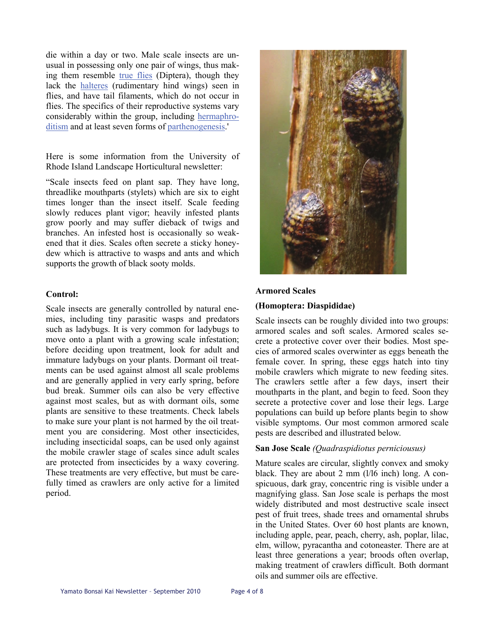die within a day or two. Male scale insects are unusual in possessing only one pair of wings, thus making them resemble [true flies](http://en.wikipedia.org/wiki/Fly) (Diptera), though they lack the [halteres](http://en.wikipedia.org/wiki/Haltere) (rudimentary hind wings) seen in flies, and have tail filaments, which do not occur in flies. The specifics of their reproductive systems vary considerably within the group, including [hermaphro](http://en.wikipedia.org/wiki/Hermaphroditism)[ditism](http://en.wikipedia.org/wiki/Hermaphroditism) and at least seven forms of [parthenogenesis](http://en.wikipedia.org/wiki/Parthenogenesis).'

Here is some information from the University of Rhode Island Landscape Horticultural newsletter:

"Scale insects feed on plant sap. They have long, threadlike mouthparts (stylets) which are six to eight times longer than the insect itself. Scale feeding slowly reduces plant vigor; heavily infested plants grow poorly and may suffer dieback of twigs and branches. An infested host is occasionally so weakened that it dies. Scales often secrete a sticky honeydew which is attractive to wasps and ants and which supports the growth of black sooty molds.

#### **Control:**

Scale insects are generally controlled by natural enemies, including tiny parasitic wasps and predators such as ladybugs. It is very common for ladybugs to move onto a plant with a growing scale infestation; before deciding upon treatment, look for adult and immature ladybugs on your plants. Dormant oil treatments can be used against almost all scale problems and are generally applied in very early spring, before bud break. Summer oils can also be very effective against most scales, but as with dormant oils, some plants are sensitive to these treatments. Check labels to make sure your plant is not harmed by the oil treatment you are considering. Most other insecticides, including insecticidal soaps, can be used only against the mobile crawler stage of scales since adult scales are protected from insecticides by a waxy covering. These treatments are very effective, but must be carefully timed as crawlers are only active for a limited period.



### **Armored Scales**

#### **(Homoptera: Diaspididae)**

Scale insects can be roughly divided into two groups: armored scales and soft scales. Armored scales secrete a protective cover over their bodies. Most species of armored scales overwinter as eggs beneath the female cover. In spring, these eggs hatch into tiny mobile crawlers which migrate to new feeding sites. The crawlers settle after a few days, insert their mouthparts in the plant, and begin to feed. Soon they secrete a protective cover and lose their legs. Large populations can build up before plants begin to show visible symptoms. Our most common armored scale pests are described and illustrated below.

### **San Jose Scale** *(Quadraspidiotus perniciousus)*

Mature scales are circular, slightly convex and smoky black. They are about 2 mm (l/l6 inch) long. A conspicuous, dark gray, concentric ring is visible under a magnifying glass. San Jose scale is perhaps the most widely distributed and most destructive scale insect pest of fruit trees, shade trees and ornamental shrubs in the United States. Over 60 host plants are known, including apple, pear, peach, cherry, ash, poplar, lilac, elm, willow, pyracantha and cotoneaster. There are at least three generations a year; broods often overlap, making treatment of crawlers difficult. Both dormant oils and summer oils are effective.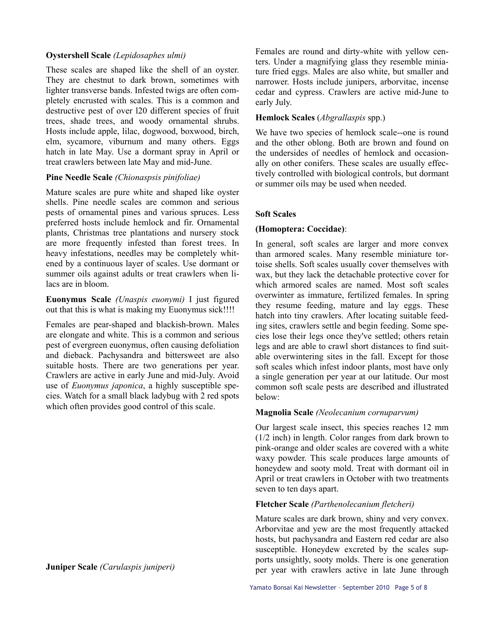### **Oystershell Scale** *(Lepidosaphes ulmi)*

These scales are shaped like the shell of an oyster. They are chestnut to dark brown, sometimes with lighter transverse bands. Infested twigs are often completely encrusted with scales. This is a common and destructive pest of over l20 different species of fruit trees, shade trees, and woody ornamental shrubs. Hosts include apple, lilac, dogwood, boxwood, birch, elm, sycamore, viburnum and many others. Eggs hatch in late May. Use a dormant spray in April or treat crawlers between late May and mid-June.

### **Pine Needle Scale** *(Chionaspsis pinifoliae)*

Mature scales are pure white and shaped like oyster shells. Pine needle scales are common and serious pests of ornamental pines and various spruces. Less preferred hosts include hemlock and fir. Ornamental plants, Christmas tree plantations and nursery stock are more frequently infested than forest trees. In heavy infestations, needles may be completely whitened by a continuous layer of scales. Use dormant or summer oils against adults or treat crawlers when lilacs are in bloom.

**Euonymus Scale** *(Unaspis euonymi)* I just figured out that this is what is making my Euonymus sick!!!!

Females are pear-shaped and blackish-brown. Males are elongate and white. This is a common and serious pest of evergreen euonymus, often causing defoliation and dieback. Pachysandra and bittersweet are also suitable hosts. There are two generations per year. Crawlers are active in early June and mid-July. Avoid use of *Euonymus japonica*, a highly susceptible species. Watch for a small black ladybug with 2 red spots which often provides good control of this scale.

**Juniper Scale** *(Carulaspis juniperi)* 

Females are round and dirty-white with yellow centers. Under a magnifying glass they resemble miniature fried eggs. Males are also white, but smaller and narrower. Hosts include junipers, arborvitae, incense cedar and cypress. Crawlers are active mid-June to early July.

### **Hemlock Scales** (*Abgrallaspis* spp.)

We have two species of hemlock scale--one is round and the other oblong. Both are brown and found on the undersides of needles of hemlock and occasionally on other conifers. These scales are usually effectively controlled with biological controls, but dormant or summer oils may be used when needed.

# **Soft Scales**

# **(Homoptera: Coccidae)**:

In general, soft scales are larger and more convex than armored scales. Many resemble miniature tortoise shells. Soft scales usually cover themselves with wax, but they lack the detachable protective cover for which armored scales are named. Most soft scales overwinter as immature, fertilized females. In spring they resume feeding, mature and lay eggs. These hatch into tiny crawlers. After locating suitable feeding sites, crawlers settle and begin feeding. Some species lose their legs once they've settled; others retain legs and are able to crawl short distances to find suitable overwintering sites in the fall. Except for those soft scales which infest indoor plants, most have only a single generation per year at our latitude. Our most common soft scale pests are described and illustrated below:

### **Magnolia Scale** *(Neolecanium cornuparvum)*

Our largest scale insect, this species reaches 12 mm (1/2 inch) in length. Color ranges from dark brown to pink-orange and older scales are covered with a white waxy powder. This scale produces large amounts of honeydew and sooty mold. Treat with dormant oil in April or treat crawlers in October with two treatments seven to ten days apart.

### **Fletcher Scale** *(Parthenolecanium fletcheri)*

Mature scales are dark brown, shiny and very convex. Arborvitae and yew are the most frequently attacked hosts, but pachysandra and Eastern red cedar are also susceptible. Honeydew excreted by the scales supports unsightly, sooty molds. There is one generation per year with crawlers active in late June through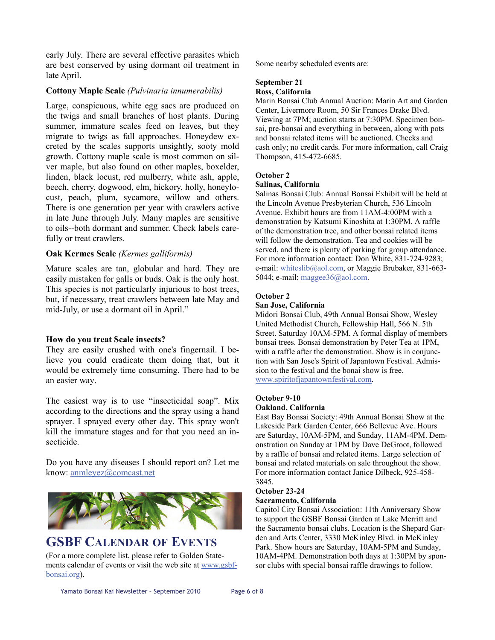early July. There are several effective parasites which are best conserved by using dormant oil treatment in late April.

#### **Cottony Maple Scale** *(Pulvinaria innumerabilis)*

Large, conspicuous, white egg sacs are produced on the twigs and small branches of host plants. During summer, immature scales feed on leaves, but they migrate to twigs as fall approaches. Honeydew excreted by the scales supports unsightly, sooty mold growth. Cottony maple scale is most common on silver maple, but also found on other maples, boxelder, linden, black locust, red mulberry, white ash, apple, beech, cherry, dogwood, elm, hickory, holly, honeylocust, peach, plum, sycamore, willow and others. There is one generation per year with crawlers active in late June through July. Many maples are sensitive to oils--both dormant and summer. Check labels carefully or treat crawlers.

#### **Oak Kermes Scale** *(Kermes galliformis)*

Mature scales are tan, globular and hard. They are easily mistaken for galls or buds. Oak is the only host. This species is not particularly injurious to host trees, but, if necessary, treat crawlers between late May and mid-July, or use a dormant oil in April."

#### **How do you treat Scale insects?**

They are easily crushed with one's fingernail. I believe you could eradicate them doing that, but it would be extremely time consuming. There had to be an easier way.

The easiest way is to use "insecticidal soap". Mix according to the directions and the spray using a hand sprayer. I sprayed every other day. This spray won't kill the immature stages and for that you need an insecticide.

Do you have any diseases I should report on? Let me know: [anmleyez@comcast.net](mailto:anmleyez@comcast.net)



# **GSBF CALENDAR OF EVENTS**

(For a more complete list, please refer to Golden Statements calendar of events or visit the web site at [www.gsbf](http://www.gsbf-bonsai.org/)[bonsai.org\)](http://www.gsbf-bonsai.org/).

Some nearby scheduled events are:

# **September 21**

# **Ross, California**

Marin Bonsai Club Annual Auction: Marin Art and Garden Center, Livermore Room, 50 Sir Frances Drake Blvd. Viewing at 7PM; auction starts at 7:30PM. Specimen bonsai, pre-bonsai and everything in between, along with pots and bonsai related items will be auctioned. Checks and cash only; no credit cards. For more information, call Craig Thompson, 415-472-6685.

#### **October 2**

#### **Salinas, California**

Salinas Bonsai Club: Annual Bonsai Exhibit will be held at the Lincoln Avenue Presbyterian Church, 536 Lincoln Avenue. Exhibit hours are from 11AM-4:00PM with a demonstration by Katsumi Kinoshita at 1:30PM. A raffle of the demonstration tree, and other bonsai related items will follow the demonstration. Tea and cookies will be served, and there is plenty of parking for group attendance. For more information contact: Don White, 831-724-9283; e-mail: [whiteslib@aol.com,](mailto:whiteslib@aol.com) or Maggie Brubaker, 831-663 5044; e-mail: [maggee36@aol.com.](mailto:maggee36@aol.com)

#### **October 2**

#### **San Jose, California**

Midori Bonsai Club, 49th Annual Bonsai Show, Wesley United Methodist Church, Fellowship Hall, 566 N. 5th Street. Saturday 10AM-5PM. A formal display of members bonsai trees. Bonsai demonstration by Peter Tea at 1PM, with a raffle after the demonstration. Show is in conjunction with San Jose's Spirit of Japantown Festival. Admission to the festival and the bonai show is free. [www.spiritofjapantownfestival.com.](http://www.spiritofjapantownfestival.com)

#### **October 9-10 Oakland, California**

East Bay Bonsai Society: 49th Annual Bonsai Show at the Lakeside Park Garden Center, 666 Bellevue Ave. Hours are Saturday, 10AM-5PM, and Sunday, 11AM-4PM. Demonstration on Sunday at 1PM by Dave DeGroot, followed by a raffle of bonsai and related items. Large selection of bonsai and related materials on sale throughout the show. For more information contact Janice Dilbeck, 925-458- 3845.

#### **October 23-24**

#### **Sacramento, California**

Capitol City Bonsai Association: 11th Anniversary Show to support the GSBF Bonsai Garden at Lake Merritt and the Sacramento bonsai clubs. Location is the Shepard Garden and Arts Center, 3330 McKinley Blvd. in McKinley Park. Show hours are Saturday, 10AM-5PM and Sunday, 10AM-4PM. Demonstration both days at 1:30PM by sponsor clubs with special bonsai raffle drawings to follow.

Yamato Bonsai Kai Newsletter - September 2010 Page 6 of 8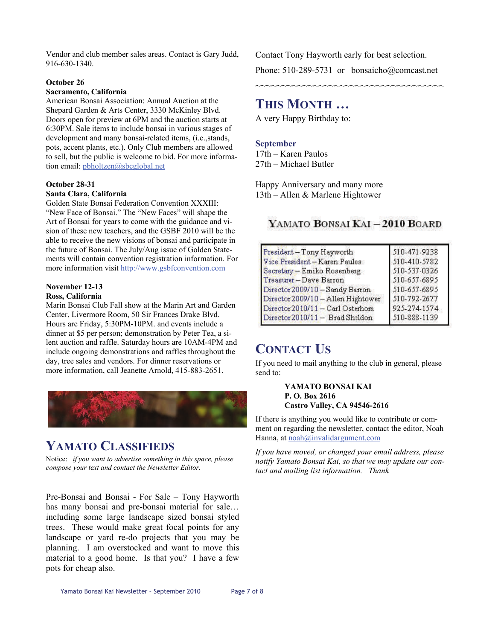Vendor and club member sales areas. Contact is Gary Judd, 916-630-1340.

#### **October 26**

#### **Sacramento, California**

American Bonsai Association: Annual Auction at the Shepard Garden & Arts Center, 3330 McKinley Blvd. Doors open for preview at 6PM and the auction starts at 6:30PM. Sale items to include bonsai in various stages of development and many bonsai-related items, (i.e.,stands, pots, accent plants, etc.). Only Club members are allowed to sell, but the public is welcome to bid. For more information email: [pbholtzen@sbcglobal.net](mailto:pbholtzen@sbcglobal.net)

#### **October 28-31 Santa Clara, California**

Golden State Bonsai Federation Convention XXXIII: "New Face of Bonsai." The "New Faces" will shape the Art of Bonsai for years to come with the guidance and vision of these new teachers, and the GSBF 2010 will be the able to receive the new visions of bonsai and participate in the future of Bonsai. The July/Aug issue of Golden Statements will contain convention registration information. For more information visit <http://www.gsbfconvention.com>

#### **November 12-13 Ross, California**

Marin Bonsai Club Fall show at the Marin Art and Garden Center, Livermore Room, 50 Sir Frances Drake Blvd. Hours are Friday, 5:30PM-10PM. and events include a dinner at \$5 per person; demonstration by Peter Tea, a silent auction and raffle. Saturday hours are 10AM-4PM and include ongoing demonstrations and raffles throughout the

day, tree sales and vendors. For dinner reservations or more information, call Jeanette Arnold, 415-883-2651.

# **YAMATO CLASSIFIEDS**

Notice: *if you want to advertise something in this space, please compose your text and contact the Newsletter Editor.* 

Pre-Bonsai and Bonsai - For Sale – Tony Hayworth has many bonsai and pre-bonsai material for sale… including some large landscape sized bonsai styled trees. These would make great focal points for any landscape or yard re-do projects that you may be planning. I am overstocked and want to move this material to a good home. Is that you? I have a few pots for cheap also.

Contact Tony Hayworth early for best selection. Phone: 510-289-5731 or bonsaicho@comcast.net

~~~~~~~~~~~~~~~~~~~~~~~~~~~~~~~~~~~~

# **THIS MONTH …**

A very Happy Birthday to:

#### **September**

17th – Karen Paulos 27th – Michael Butler

Happy Anniversary and many more 13th – Allen & Marlene Hightower

YAMATO BONSAI KAI - 2010 BOARD

| 510-471-9238 |
|--------------|
| 510-410-5782 |
| 510-537-0326 |
| 510-657-6895 |
| 510-657-6895 |
| 510-792-2677 |
| 925-274-1574 |
| 510-888-1139 |
|              |

# **CONTACT US**

If you need to mail anything to the club in general, please send to:

> **YAMATO BONSAI KAI P. O. Box 2616 Castro Valley, CA 94546-2616**

If there is anything you would like to contribute or comment on regarding the newsletter, contact the editor, Noah Hanna, at [noah@invalidargument.com](mailto:noah@invalidargument.com) 

*If you have moved, or changed your email address, please notify Yamato Bonsai Kai, so that we may update our contact and mailing list information. Thank*